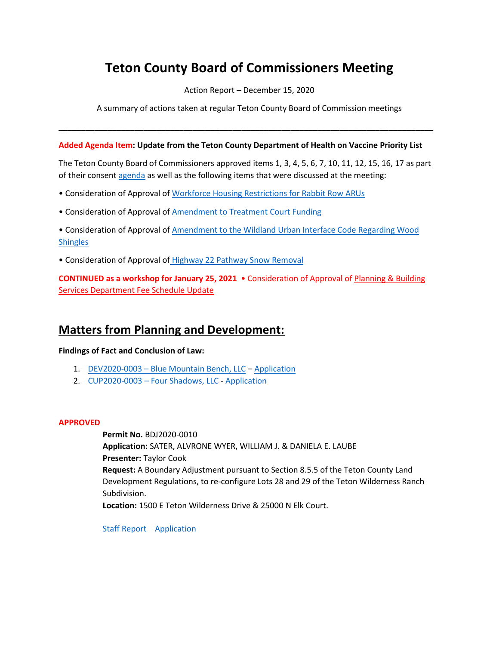# **Teton County Board of Commissioners Meeting**

Action Report – December 15, 2020

A summary of actions taken at regular Teton County Board of Commission meetings

**\_\_\_\_\_\_\_\_\_\_\_\_\_\_\_\_\_\_\_\_\_\_\_\_\_\_\_\_\_\_\_\_\_\_\_\_\_\_\_\_\_\_\_\_\_\_\_\_\_\_\_\_\_\_\_\_\_\_\_\_\_\_\_\_\_\_\_\_\_\_\_\_\_\_\_\_\_\_\_\_\_\_\_\_**

#### **Added Agenda Item: Update from the Teton County Department of Health on Vaccine Priority List**

The Teton County Board of Commissioners approved items 1, 3, 4, 5, 6, 7, 10, 11, 12, 15, 16, 17 as part of their consen[t agenda](http://tetoncountywy.gov/AgendaCenter/ViewFile/Agenda/_12152020-1579) as well as the following items that were discussed at the meeting:

- Consideration of Approval of [Workforce Housing Restrictions for Rabbit Row](https://www.tetoncountywy.gov/DocumentCenter/View/16351/1215-02-Rabbit-Row) ARUs
- Consideration of Approval of [Amendment to Treatment Court Funding](https://www.tetoncountywy.gov/DocumentCenter/View/16367/1215-08-Staff-Report-and-Amendment-1-to-Treatment-Court-Contract)
- Consideration of Approval of [Amendment to the Wildland Urban Interface Code Regarding Wood](https://www.tetoncountywy.gov/DocumentCenter/View/16357/1215-09-WUI-Amendment)  **[Shingles](https://www.tetoncountywy.gov/DocumentCenter/View/16357/1215-09-WUI-Amendment)**
- Consideration of Approval of [Highway 22 Pathway Snow Removal](https://www.tetoncountywy.gov/DocumentCenter/View/16361/1215-13-PRK_20201215_PATH_HWY22SnowRemovalServices_StaffReport)

**CONTINUED as a workshop for January 25, 2021** • Consideration of Approval o[f Planning & Building](https://www.tetoncountywy.gov/DocumentCenter/View/16362/1215-14-MSC2020-0035-Fee-Schedule-Update-Packet-121520)  [Services Department Fee Schedule Update](https://www.tetoncountywy.gov/DocumentCenter/View/16362/1215-14-MSC2020-0035-Fee-Schedule-Update-Packet-121520)

## **Matters from Planning and Development:**

**Findings of Fact and Conclusion of Law:** 

- 1. DEV2020-0003 [Blue Mountain Bench, LLC](https://www.tetoncountywy.gov/DocumentCenter/View/16366/DEV2020-0003-FOF-COL-Packet-BCC121520) [Application](https://developmentrecords.tetoncountywy.gov/Portal/Planning/Status?planningId=20249)
- 2. CUP2020-0003 [Four Shadows, LLC](https://www.tetoncountywy.gov/DocumentCenter/View/16365/CUP2020-0003-FOF-COL-Packet-BCC121520) [Application](https://developmentrecords.tetoncountywy.gov/Portal/Planning/Status?planningId=20296)

#### **APPROVED**

**Permit No.** BDJ2020-0010 **Application:** SATER, ALVRONE WYER, WILLIAM J. & DANIELA E. LAUBE **Presenter:** Taylor Cook **Request:** A Boundary Adjustment pursuant to Section 8.5.5 of the Teton County Land Development Regulations, to re-configure Lots 28 and 29 of the Teton Wilderness Ranch Subdivision. **Location:** 1500 E Teton Wilderness Drive & 25000 N Elk Court.

[Staff Report](https://www.tetoncountywy.gov/DocumentCenter/View/16364/BDJ2020-0010-121520BCCPacket) [Application](https://developmentrecords.tetoncountywy.gov/Portal/Planning/Status?planningId=20330)